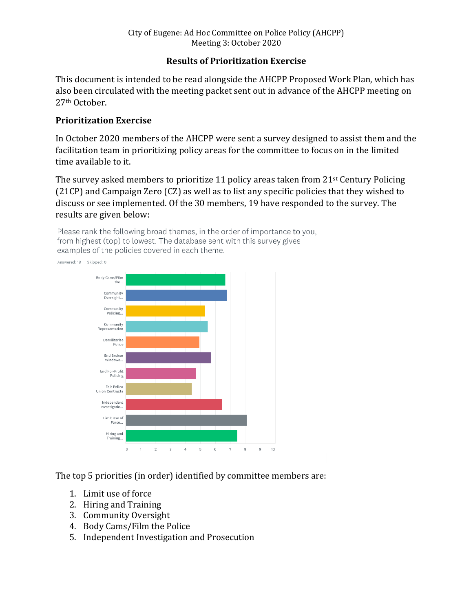## **Results of Prioritization Exercise**

This document is intended to be read alongside the AHCPP Proposed Work Plan, which has also been circulated with the meeting packet sent out in advance of the AHCPP meeting on 27th October.

## **Prioritization Exercise**

In October 2020 members of the AHCPP were sent a survey designed to assist them and the facilitation team in prioritizing policy areas for the committee to focus on in the limited time available to it.

The survey asked members to prioritize 11 policy areas taken from  $21^{st}$  Century Policing (21CP) and Campaign Zero (CZ) as well as to list any specific policies that they wished to discuss or see implemented. Of the 30 members, 19 have responded to the survey. The results are given below:

Please rank the following broad themes, in the order of importance to you, from highest (top) to lowest. The database sent with this survey gives examples of the policies covered in each theme. Answered: 19 Skipped: 0



The top 5 priorities (in order) identified by committee members are:

- 1. Limit use of force
- 2. Hiring and Training
- 3. Community Oversight
- 4. Body Cams/Film the Police
- 5. Independent Investigation and Prosecution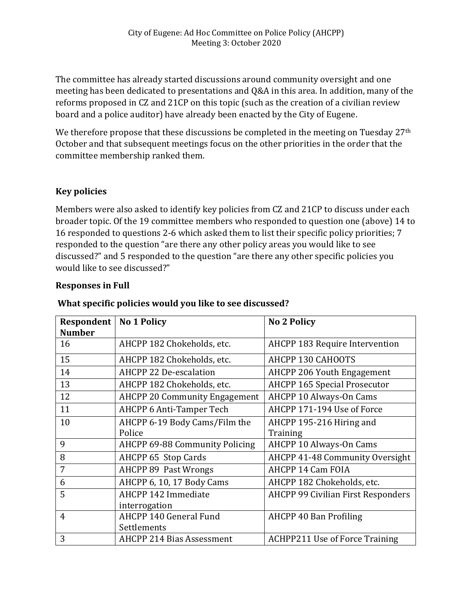The committee has already started discussions around community oversight and one meeting has been dedicated to presentations and Q&A in this area. In addition, many of the reforms proposed in CZ and 21CP on this topic (such as the creation of a civilian review board and a police auditor) have already been enacted by the City of Eugene.

We therefore propose that these discussions be completed in the meeting on Tuesday 27<sup>th</sup> October and that subsequent meetings focus on the other priorities in the order that the committee membership ranked them.

## **Key policies**

Members were also asked to identify key policies from CZ and 21CP to discuss under each broader topic. Of the 19 committee members who responded to question one (above) 14 to 16 responded to questions 2-6 which asked them to list their specific policy priorities; 7 responded to the question "are there any other policy areas you would like to see discussed?" and 5 responded to the question "are there any other specific policies you would like to see discussed?"

#### **Responses in Full**

| Respondent    | <b>No 1 Policy</b>                    | <b>No 2 Policy</b>                        |
|---------------|---------------------------------------|-------------------------------------------|
| <b>Number</b> |                                       |                                           |
| 16            | AHCPP 182 Chokeholds, etc.            | <b>AHCPP 183 Require Intervention</b>     |
| 15            | AHCPP 182 Chokeholds, etc.            | AHCPP 130 CAHOOTS                         |
| 14            | AHCPP 22 De-escalation                | <b>AHCPP 206 Youth Engagement</b>         |
| 13            | AHCPP 182 Chokeholds, etc.            | <b>AHCPP 165 Special Prosecutor</b>       |
| 12            | <b>AHCPP 20 Community Engagement</b>  | AHCPP 10 Always-On Cams                   |
| 11            | <b>AHCPP 6 Anti-Tamper Tech</b>       | AHCPP 171-194 Use of Force                |
| 10            | AHCPP 6-19 Body Cams/Film the         | AHCPP 195-216 Hiring and                  |
|               | Police                                | Training                                  |
| 9             | <b>AHCPP 69-88 Community Policing</b> | <b>AHCPP 10 Always-On Cams</b>            |
| 8             | AHCPP 65 Stop Cards                   | AHCPP 41-48 Community Oversight           |
| 7             | <b>AHCPP 89 Past Wrongs</b>           | AHCPP 14 Cam FOIA                         |
| 6             | AHCPP 6, 10, 17 Body Cams             | AHCPP 182 Chokeholds, etc.                |
| 5             | AHCPP 142 Immediate                   | <b>AHCPP 99 Civilian First Responders</b> |
|               | interrogation                         |                                           |
| 4             | AHCPP 140 General Fund                | AHCPP 40 Ban Profiling                    |
|               | Settlements                           |                                           |
| 3             | <b>AHCPP 214 Bias Assessment</b>      | <b>ACHPP211 Use of Force Training</b>     |

#### **What specific policies would you like to see discussed?**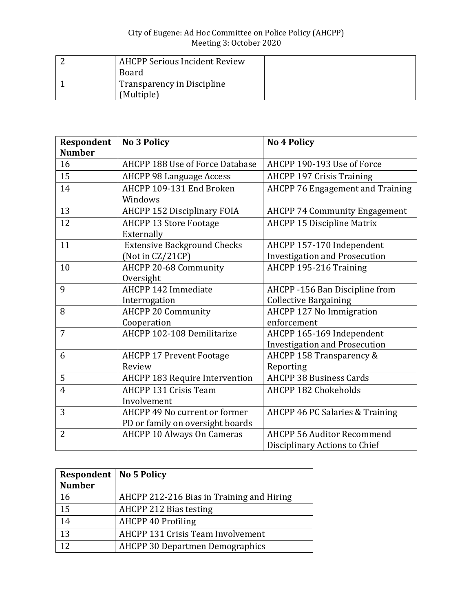| <b>AHCPP Serious Incident Review</b><br><b>Board</b> |  |
|------------------------------------------------------|--|
| Transparency in Discipline<br>(Multiple)             |  |

| Respondent     | <b>No 3 Policy</b>                    | <b>No 4 Policy</b>                      |
|----------------|---------------------------------------|-----------------------------------------|
| <b>Number</b>  |                                       |                                         |
| 16             | AHCPP 188 Use of Force Database       | AHCPP 190-193 Use of Force              |
| 15             | <b>AHCPP 98 Language Access</b>       | <b>AHCPP 197 Crisis Training</b>        |
| 14             | AHCPP 109-131 End Broken              | <b>AHCPP 76 Engagement and Training</b> |
|                | Windows                               |                                         |
| 13             | <b>AHCPP 152 Disciplinary FOIA</b>    | <b>AHCPP 74 Community Engagement</b>    |
| 12             | <b>AHCPP 13 Store Footage</b>         | <b>AHCPP 15 Discipline Matrix</b>       |
|                | Externally                            |                                         |
| 11             | <b>Extensive Background Checks</b>    | AHCPP 157-170 Independent               |
|                | (Not in CZ/21CP)                      | <b>Investigation and Prosecution</b>    |
| 10             | AHCPP 20-68 Community                 | AHCPP 195-216 Training                  |
|                | Oversight                             |                                         |
| 9              | AHCPP 142 Immediate                   | AHCPP -156 Ban Discipline from          |
|                | Interrogation                         | <b>Collective Bargaining</b>            |
| 8              | <b>AHCPP 20 Community</b>             | AHCPP 127 No Immigration                |
|                | Cooperation                           | enforcement                             |
| 7              | AHCPP 102-108 Demilitarize            | AHCPP 165-169 Independent               |
|                |                                       | <b>Investigation and Prosecution</b>    |
| 6              | <b>AHCPP 17 Prevent Footage</b>       | AHCPP 158 Transparency &                |
|                | Review                                | Reporting                               |
| 5              | <b>AHCPP 183 Require Intervention</b> | <b>AHCPP 38 Business Cards</b>          |
| $\overline{4}$ | <b>AHCPP 131 Crisis Team</b>          | <b>AHCPP 182 Chokeholds</b>             |
|                | Involvement                           |                                         |
| 3              | AHCPP 49 No current or former         | AHCPP 46 PC Salaries & Training         |
|                | PD or family on oversight boards      |                                         |
| $\overline{2}$ | <b>AHCPP 10 Always On Cameras</b>     | <b>AHCPP 56 Auditor Recommend</b>       |
|                |                                       | Disciplinary Actions to Chief           |

| <b>Respondent   No 5 Policy</b><br><b>Number</b> |                                           |
|--------------------------------------------------|-------------------------------------------|
| 16                                               | AHCPP 212-216 Bias in Training and Hiring |
| 15                                               | AHCPP 212 Bias testing                    |
| 14                                               | AHCPP 40 Profiling                        |
| 13                                               | <b>AHCPP 131 Crisis Team Involvement</b>  |
| 12                                               | <b>AHCPP 30 Departmen Demographics</b>    |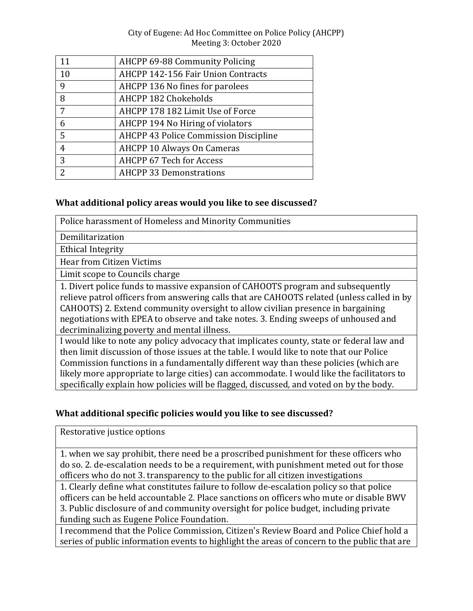| 11              | AHCPP 69-88 Community Policing        |
|-----------------|---------------------------------------|
| 10              | AHCPP 142-156 Fair Union Contracts    |
| 9               | AHCPP 136 No fines for parolees       |
| 8               | <b>AHCPP 182 Chokeholds</b>           |
| $7\overline{ }$ | AHCPP 178 182 Limit Use of Force      |
| 6               | AHCPP 194 No Hiring of violators      |
| 5               | AHCPP 43 Police Commission Discipline |
| 4               | <b>AHCPP 10 Always On Cameras</b>     |
| 3               | <b>AHCPP 67 Tech for Access</b>       |
| $\mathcal{P}$   | <b>AHCPP 33 Demonstrations</b>        |
|                 |                                       |

## **What additional policy areas would you like to see discussed?**

Police harassment of Homeless and Minority Communities

Demilitarization

Ethical Integrity

Hear from Citizen Victims

Limit scope to Councils charge

1. Divert police funds to massive expansion of CAHOOTS program and subsequently relieve patrol officers from answering calls that are CAHOOTS related (unless called in by CAHOOTS) 2. Extend community oversight to allow civilian presence in bargaining negotiations with EPEA to observe and take notes. 3. Ending sweeps of unhoused and decriminalizing poverty and mental illness.

I would like to note any policy advocacy that implicates county, state or federal law and then limit discussion of those issues at the table. I would like to note that our Police Commission functions in a fundamentally different way than these policies (which are likely more appropriate to large cities) can accommodate. I would like the facilitators to specifically explain how policies will be flagged, discussed, and voted on by the body.

# **What additional specific policies would you like to see discussed?**

Restorative justice options

1. when we say prohibit, there need be a proscribed punishment for these officers who do so. 2. de-escalation needs to be a requirement, with punishment meted out for those officers who do not 3. transparency to the public for all citizen investigations

1. Clearly define what constitutes failure to follow de-escalation policy so that police officers can be held accountable 2. Place sanctions on officers who mute or disable BWV 3. Public disclosure of and community oversight for police budget, including private funding such as Eugene Police Foundation.

I recommend that the Police Commission, Citizen's Review Board and Police Chief hold a series of public information events to highlight the areas of concern to the public that are